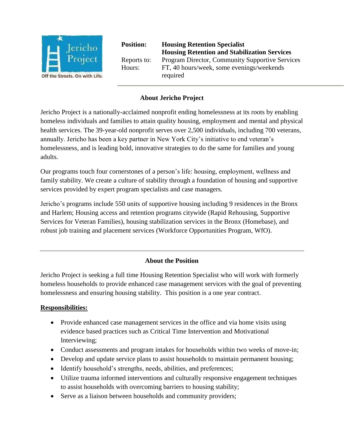

**Position: Housing Retention Specialist Housing Retention and Stabilization Services**  Reports to: Program Director, Community Supportive Services Hours: FT, 40 hours/week, some evenings/weekends required

## **About Jericho Project**

Jericho Project is a nationally-acclaimed nonprofit ending homelessness at its roots by enabling homeless individuals and families to attain quality housing, employment and mental and physical health services. The 39-year-old nonprofit serves over 2,500 individuals, including 700 veterans, annually. Jericho has been a key partner in New York City's initiative to end veteran's homelessness, and is leading bold, innovative strategies to do the same for families and young adults.

Our programs touch four cornerstones of a person's life: housing, employment, wellness and family stability. We create a culture of stability through a foundation of housing and supportive services provided by expert program specialists and case managers.

Jericho's programs include 550 units of supportive housing including 9 residences in the Bronx and Harlem; Housing access and retention programs citywide (Rapid Rehousing, Supportive Services for Veteran Families), housing stabilization services in the Bronx (Homebase), and robust job training and placement services (Workforce Opportunities Program, WfO).

### **About the Position**

Jericho Project is seeking a full time Housing Retention Specialist who will work with formerly homeless households to provide enhanced case management services with the goal of preventing homelessness and ensuring housing stability. This position is a one year contract.

### **Responsibilities:**

- Provide enhanced case management services in the office and via home visits using evidence based practices such as Critical Time Intervention and Motivational Interviewing;
- Conduct assessments and program intakes for households within two weeks of move-in;
- Develop and update service plans to assist households to maintain permanent housing;
- Identify household's strengths, needs, abilities, and preferences;
- Utilize trauma informed interventions and culturally responsive engagement techniques to assist households with overcoming barriers to housing stability;
- Serve as a liaison between households and community providers;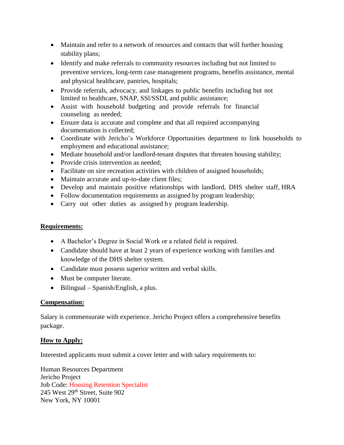- Maintain and refer to a network of resources and contacts that will further housing stability plans;
- Identify and make referrals to community resources including but not limited to preventive services, long-term case management programs, benefits assistance, mental and physical healthcare, pantries, hospitals;
- Provide referrals, advocacy, and linkages to public benefits including but not limited to healthcare, SNAP, SSl/SSDI, and public assistance;
- Assist with household budgeting and provide referrals for financial counseling as needed;
- Ensure data is accurate and complete and that all required accompanying documentation is collected;
- Coordinate with Jericho's Workforce Opportunities department to link households to employment and educational assistance;
- Mediate household and/or landlord-tenant disputes that threaten housing stability;
- Provide crisis intervention as needed;
- Facilitate on sire recreation activities with children of assigned households;
- Maintain accurate and up-to-date client files;
- Develop and maintain positive relationships with landlord, DHS shelter staff, HRA
- Follow documentation requirements as assigned by program leadership;
- Carry out other duties as assigned by program leadership.

### **Requirements:**

- A Bachelor's Degree in Social Work or a related field is required.
- Candidate should have at least 2 years of experience working with families and knowledge of the DHS shelter system.
- Candidate must possess superior written and verbal skills.
- Must be computer literate.
- $\bullet$  Bilingual Spanish/English, a plus.

### **Compensation:**

Salary is commensurate with experience. Jericho Project offers a comprehensive benefits package.

# **How to Apply:**

Interested applicants must submit a cover letter and with salary requirements to:

Human Resources Department Jericho Project Job Code: Housing Retention Specialist 245 West 29<sup>th</sup> Street, Suite 902 New York, NY 10001